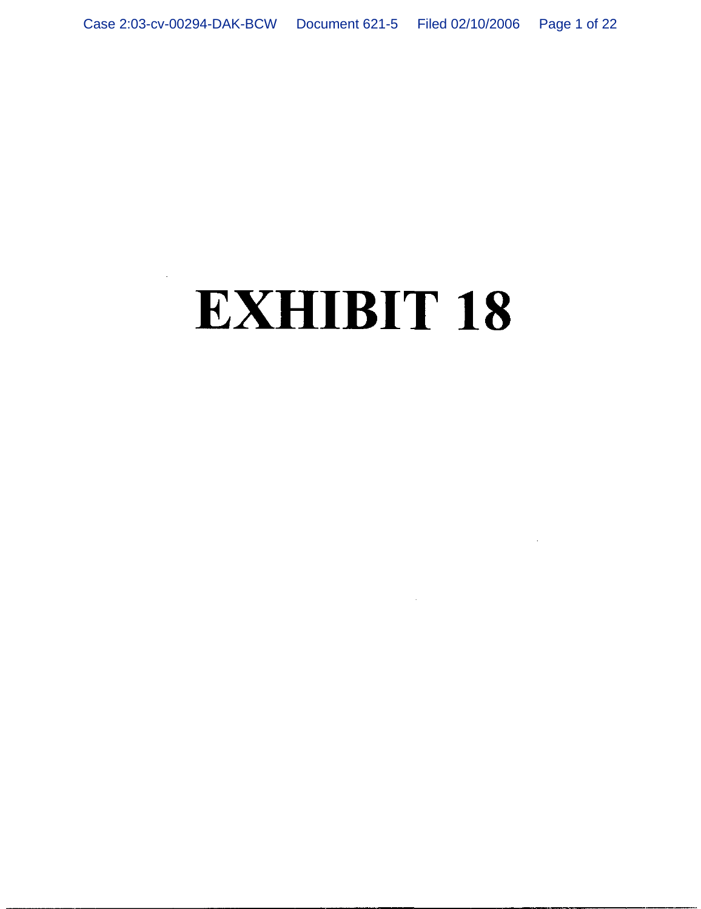# **EXHIBIT 18**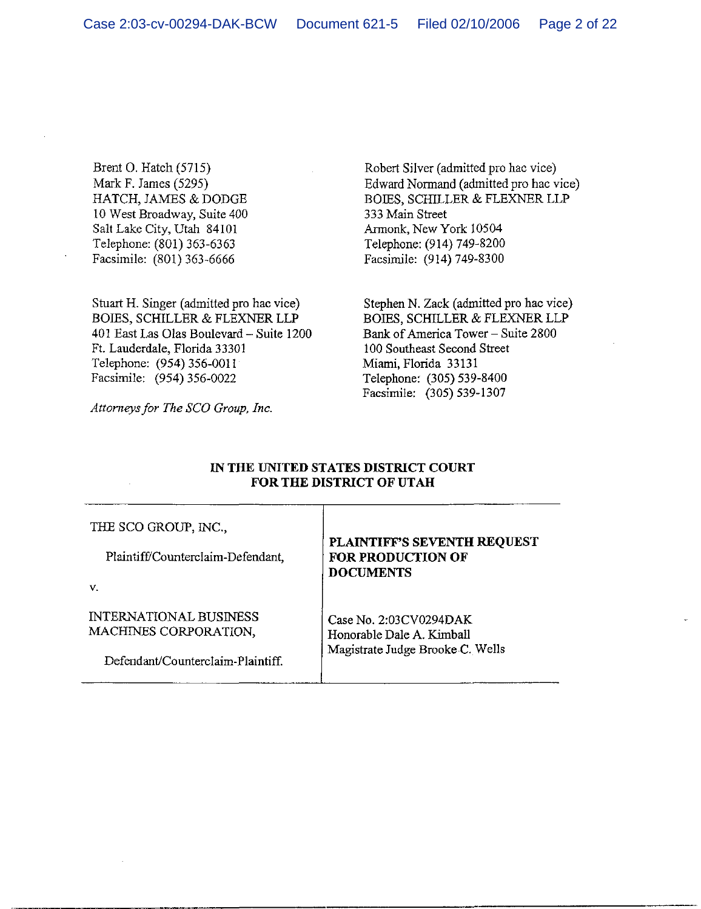Brent O. Hatch (5715) Mark F. James (5295) HATCH, JAMES & DODGE 10 West Broadway, Suite 400 Salt Lake City, Utah 84101 Telephone: (801) 363-6363 Facsimile: (801) 363-6666

Stuart H. Singer (admitted pro hac vice) BOIES, SCHILLER & FLEXNER LLP 401 East Las Olas Boulevard - Suite 1200 Ft. Lauderdale, Florida 33301 Telephone: (954) 356-0011 Facsimile: (954) 356-0022

Attorneys for The SCO Group, Inc.

Robert Silver (admitted pro hac vice) Edward Normand (admitted pro hac vice) BOIES, SCHILLER & FLEXNER LLP 333 Main Street Armonk, New York 10504 Telephone: (914) 749-8200 Facsimile: (914) 749-8300

Stephen N. Zack (admitted pro hac vice) BOIES, SCHILLER & FLEXNER LLP Bank of America Tower - Suite 2800 100 Southeast Second Street Miami, Florida 33131 Telephone: (305) 539-8400 Facsimile: (305) 539-1307

# IN THE UNITED STATES DISTRICT COURT FOR THE DISTRICT OF UTAH

| THE SCO GROUP, INC.,<br>Plaintiff/Counterclaim-Defendant,                                         | <b>PLAINTIFF'S SEVENTH REQUEST</b><br><b>FOR PRODUCTION OF</b><br><b>DOCUMENTS</b>      |
|---------------------------------------------------------------------------------------------------|-----------------------------------------------------------------------------------------|
| v.<br><b>INTERNATIONAL BUSINESS</b><br>MACHINES CORPORATION,<br>Defendant/Counterclaim-Plaintiff. | Case No. 2:03CV0294DAK<br>Honorable Dale A. Kimball<br>Magistrate Judge Brooke C. Wells |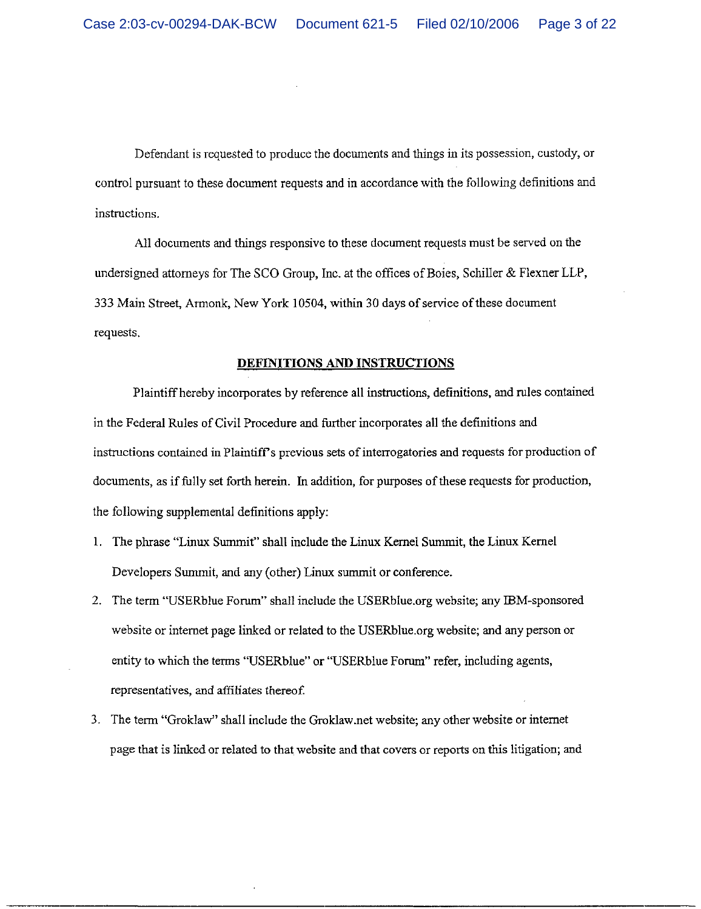Defendant is requested to produce the documents and things in its possession, custody, or control pursuant to these document requests and in accordance with the following definitions and instructions.

All documents and things responsive to these document requests must be served on the undersigned attorneys for The SCO Group. Inc. at the offices of Boies, Schiller & Flexner LLP, 333 Main Street, Armonk, New York 10504, within 30 days of service of these document requests.

# DEFINITIONS AND INSTRUCTIONS

Plaintiff hereby incorporates by reference all instructions, definitions, and rules contained in the Federal Rules of Civil Procedure and further incorporates all the definitions and instructions contained in Plaintiff's previous sets of interrogatories and requests for production of documents, as if fully set forth herein. In addition, for purposes of these requests for production, the following supplemental definitions apply:

- 1. The phrase "Linux Summit" shall include the Linux Kernel Summit, the Linux Kernel Developers Summit, and any (other) Linux summit or conference.
- 2. The term "USERblue Forum" shall include the USERblue.org website; any IBM-sponsored website or internet page linked or related to the USER blue org website; and any person or entity to which the terms "USERblue" or "USERblue Forum" refer, including agents, representatives, and affiliates thereof.
- 3. The term "Groklaw" shall include the Groklaw.net website; any other website or internet page that is linked or related to that website and that covers or reports on this litigation; and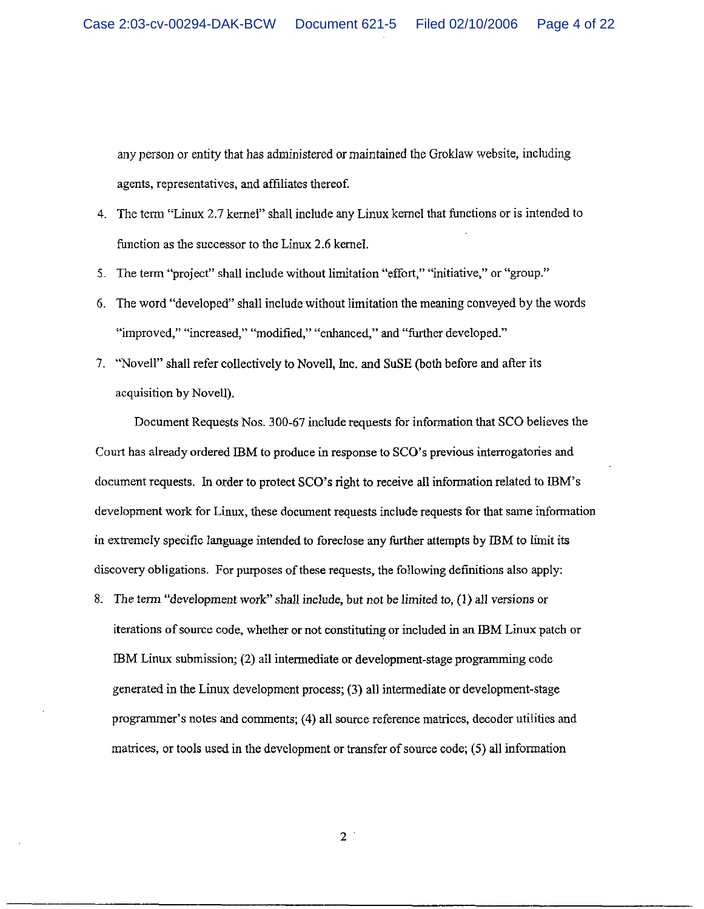any person or entity that has administered or maintained the Groklaw website, including agents, representatives, and affiliates thereof.

- 4. The term "Linux 2.7 kernel" shall include any Linux kernel that functions or is intended to function as the successor to the Linux 2.6 kernel.
- 5. The term "project" shall include without limitation "effort," "initiative," or "group."
- 6. The word "developed" shall include without limitation the meaning conveyed by the words "improved," "increased," "modified," "enhanced," and "further developed."
- 7. "Novell" shall refer collectively to Novell, Inc. and SuSE (both before and after its acquisition by Novell).

Document Requests Nos. 300-67 include requests for information that SCO believes the Court has already ordered IBM to produce in response to SCO's previous interrogatories and document requests. In order to protect SCO's right to receive all information related to IBM's development work for Linux, these document requests include requests for that same information in extremely specific language intended to foreclose any further attempts by IBM to limit its discovery obligations. For purposes of these requests, the following definitions also apply:

8. The term "development work" shall include, but not be limited to, (1) all versions or iterations of source code, whether or not constituting or included in an IBM Linux patch or IBM Linux submission; (2) all intermediate or development-stage programming code generated in the Linux development process; (3) all intermediate or development-stage programmer's notes and comments; (4) all source reference matrices, decoder utilities and matrices, or tools used in the development or transfer of source code; (5) all information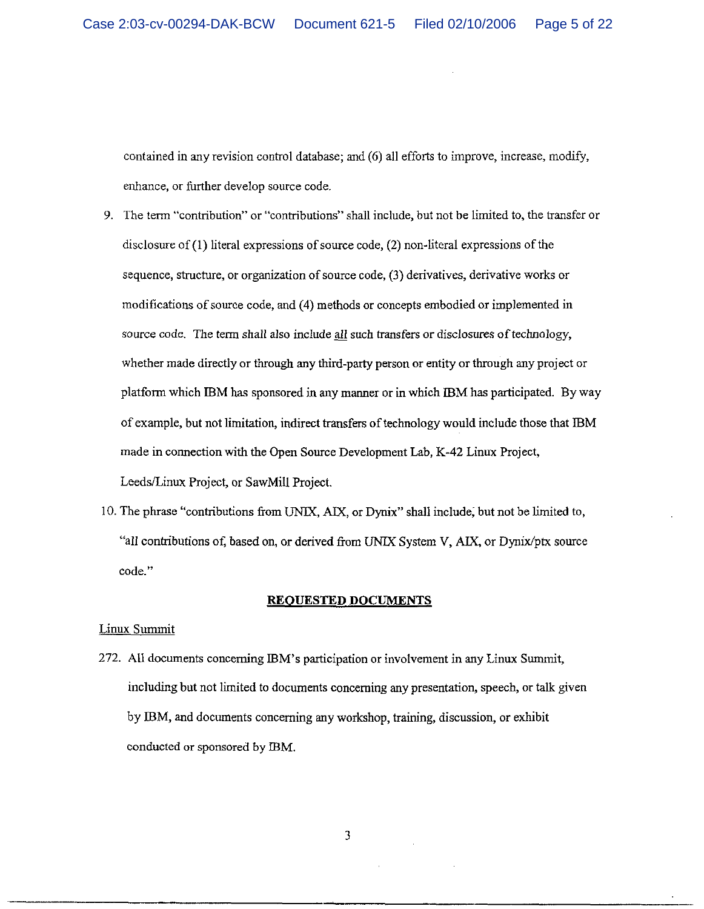contained in any revision control database; and (6) all efforts to improve, increase, modify, enhance, or further develop source code.

- 9. The term "contribution" or "contributions" shall include, but not be limited to, the transfer or disclosure of  $(1)$  literal expressions of source code,  $(2)$  non-literal expressions of the sequence, structure, or organization of source code, (3) derivatives, derivative works or modifications of source code, and (4) methods or concepts embodied or implemented in source code. The term shall also include all such transfers or disclosures of technology, whether made directly or through any third-party person or entity or through any project or platform which IBM has sponsored in any manner or in which IBM has participated. By way of example, but not limitation, indirect transfers of technology would include those that IBM made in connection with the Open Source Development Lab, K-42 Linux Project, Leeds/Linux Project, or SawMill Project.
- 10. The phrase "contributions from UNIX, AIX, or Dynix" shall include, but not be limited to, all contributions of, based on, or derived from UNIX System V, AIX, or Dynix/ptx source code."

### **REQUESTED DOCUMENTS**

# Linux Summit

272. All documents concerning IBM's participation or involvement in any Linux Summit, including but not limited to documents concerning any presentation, speech, or talk given by IBM, and documents concerning any workshop, training, discussion, or exhibit conducted or sponsored by IBM.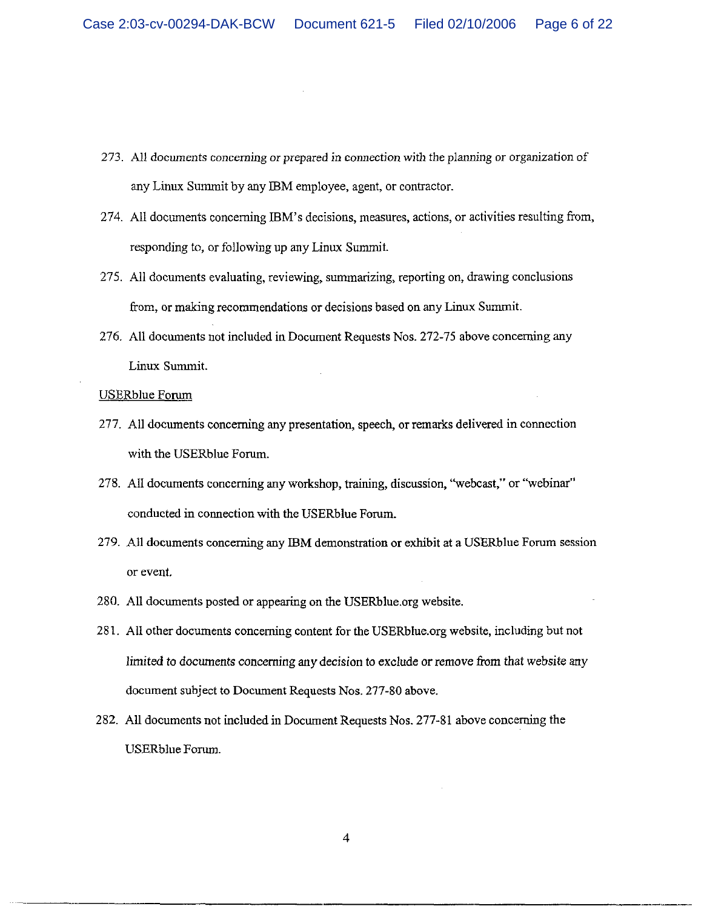- 273. All documents concerning or prepared in connection with the planning or organization of any Linux Summit by any IBM employee, agent, or contractor.
- 274. All documents concerning IBM's decisions, measures, actions, or activities resulting from, responding to, or following up any Linux Summit.
- 275. All documents evaluating, reviewing, summarizing, reporting on, drawing conclusions from, or making recommendations or decisions based on any Linux Summit.
- 276. All documents not included in Document Requests Nos. 272-75 above concerning any Linux Summit.

**USERblue Forum** 

- 277. All documents concerning any presentation, speech, or remarks delivered in connection with the USERblue Forum.
- 278. All documents concerning any workshop, training, discussion, "webcast," or "webinar" conducted in connection with the USERblue Forum.
- 279. All documents concerning any IBM demonstration or exhibit at a USERblue Forum session or event.
- 280. All documents posted or appearing on the USERblue.org website.
- 281. All other documents concerning content for the USERblue.org website, including but not limited to documents concerning any decision to exclude or remove from that website any document subject to Document Requests Nos. 277-80 above.
- 282. All documents not included in Document Requests Nos. 277-81 above concerning the **USERblue Forum.**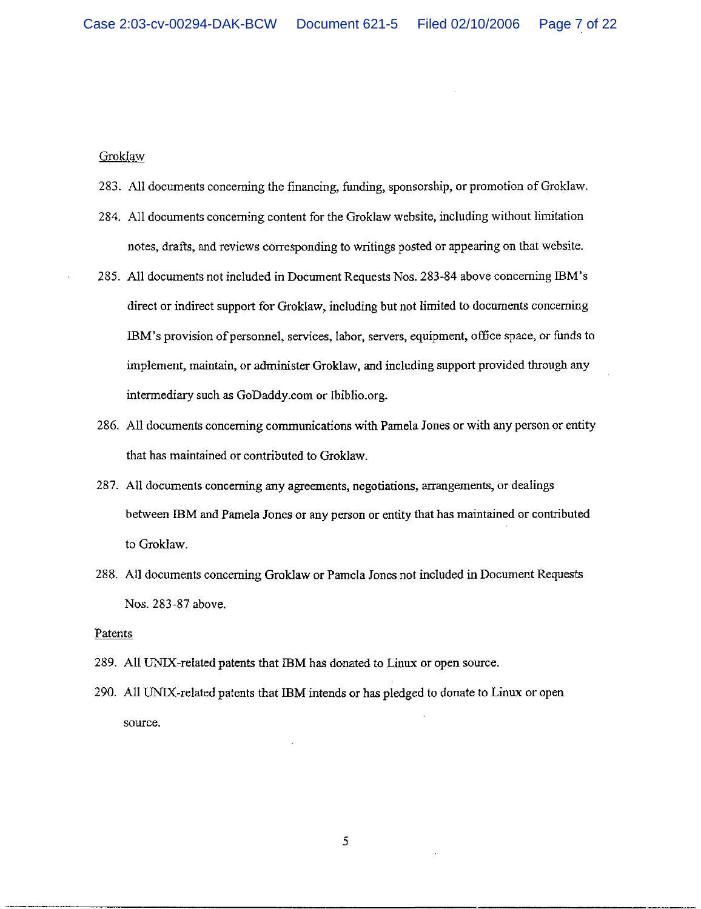### Groklaw

- 283. All documents concerning the financing, funding, sponsorship, or promotion of Groklaw.
- 284. All documents concerning content for the Groklaw website, including without limitation notes, drafts, and reviews corresponding to writings posted or appearing on that website.
- 285. All documents not included in Document Requests Nos. 283-84 above concerning IBM's direct or indirect support for Groklaw, including but not limited to documents concerning IBM's provision of personnel, services, labor, servers, equipment, office space, or funds to implement, maintain, or administer Groklaw, and including support provided through any intermediary such as GoDaddy.com or Ibiblio.org.
- 286. All documents concerning communications with Pamela Jones or with any person or entity that has maintained or contributed to Groklaw.
- 287. All documents concerning any agreements, negotiations, arrangements, or dealings between IBM and Pamela Jones or any person or entity that has maintained or contributed to Groklaw.
- 288. All documents concerning Groklaw or Pamela Jones not included in Document Requests Nos. 283-87 above.

### Patents

- 289. All UNIX-related patents that IBM has donated to Linux or open source.
- 290. All UNIX-related patents that IBM intends or has pledged to donate to Linux or open source.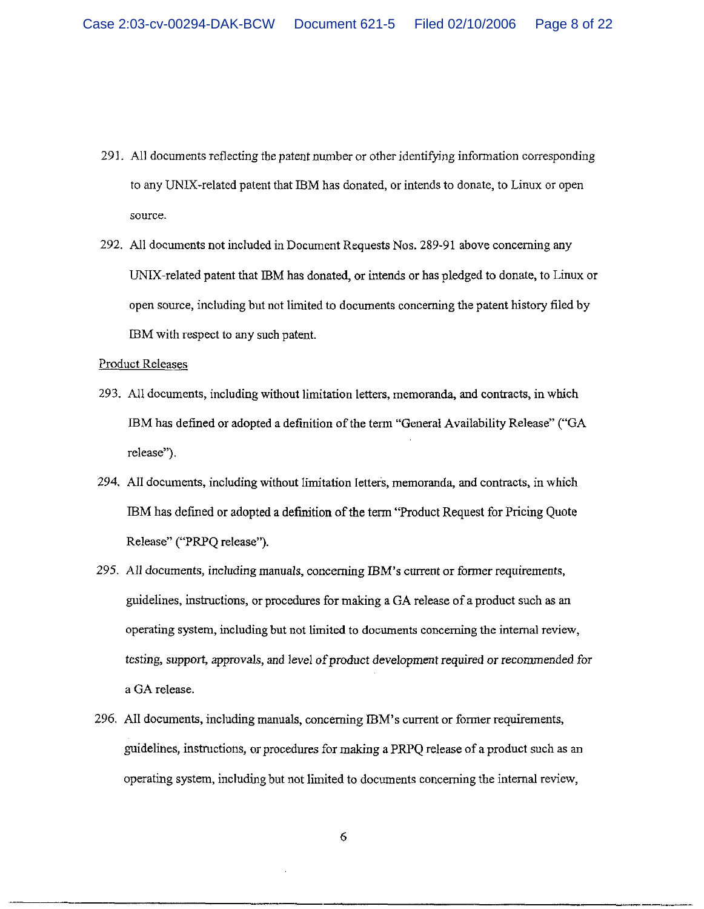- 291. All documents reflecting the patent number or other identifying information corresponding to any UNIX-related patent that IBM has donated, or intends to donate, to Linux or open source.
- 292. All documents not included in Document Requests Nos. 289-91 above concerning any UNIX-related patent that IBM has donated, or intends or has pledged to donate, to Linux or open source, including but not limited to documents concerning the patent history filed by IBM with respect to any such patent.

Product Releases

- 293. All documents, including without limitation letters, memoranda, and contracts, in which IBM has defined or adopted a definition of the term "General Availability Release" ("GA release").
- 294. All documents, including without limitation letters, memoranda, and contracts, in which IBM has defined or adopted a definition of the term "Product Request for Pricing Quote" Release" ("PRPO release").
- 295. All documents, including manuals, concerning IBM's current or former requirements, guidelines, instructions, or procedures for making a GA release of a product such as an operating system, including but not limited to documents concerning the internal review, testing, support, approvals, and level of product development required or recommended for a GA release.
- 296. All documents, including manuals, concerning IBM's current or former requirements, guidelines, instructions, or procedures for making a PRPQ release of a product such as an operating system, including but not limited to documents concerning the internal review,

 $\epsilon$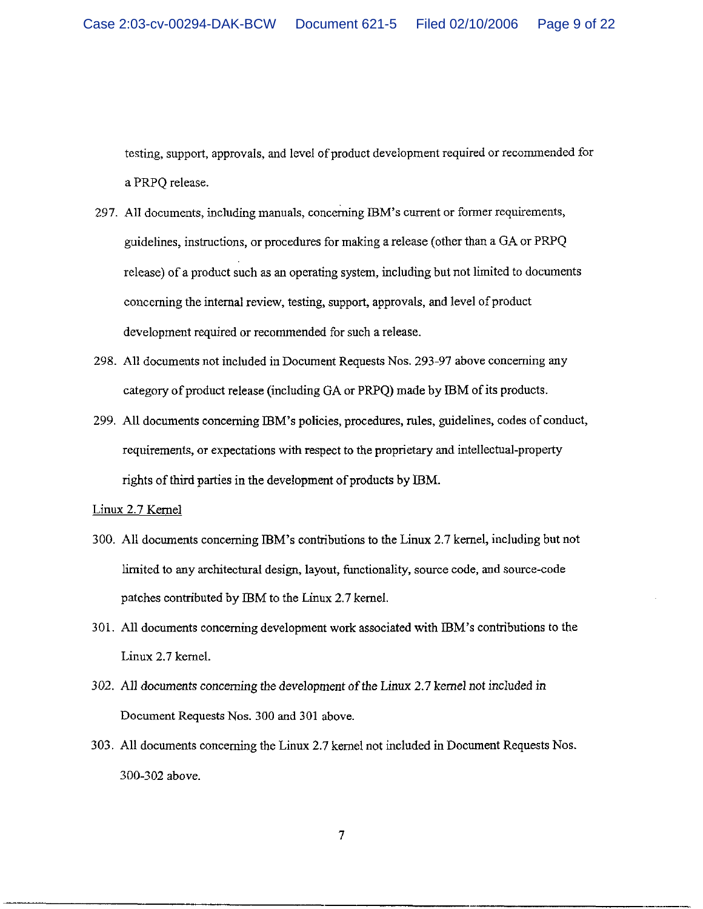testing, support, approvals, and level of product development required or recommended for a PRPO release.

- 297. All documents, including manuals, concerning IBM's current or former requirements, guidelines, instructions, or procedures for making a release (other than a GA or PRPQ release) of a product such as an operating system, including but not limited to documents concerning the internal review, testing, support, approvals, and level of product development required or recommended for such a release.
- 298. All documents not included in Document Requests Nos. 293-97 above concerning any category of product release (including GA or PRPQ) made by IBM of its products.
- 299. All documents concerning IBM's policies, procedures, rules, guidelines, codes of conduct, requirements, or expectations with respect to the proprietary and intellectual-property rights of third parties in the development of products by IBM.

Linux 2.7 Kernel

- 300. All documents concerning IBM's contributions to the Linux 2.7 kernel, including but not limited to any architectural design, layout, functionality, source code, and source-code patches contributed by IBM to the Linux 2.7 kernel.
- 301. All documents concerning development work associated with IBM's contributions to the Linux 2.7 kernel.
- 302. All documents concerning the development of the Linux 2.7 kernel not included in Document Requests Nos. 300 and 301 above.
- 303. All documents concerning the Linux 2.7 kernel not included in Document Requests Nos. 300-302 above.

 $\overline{7}$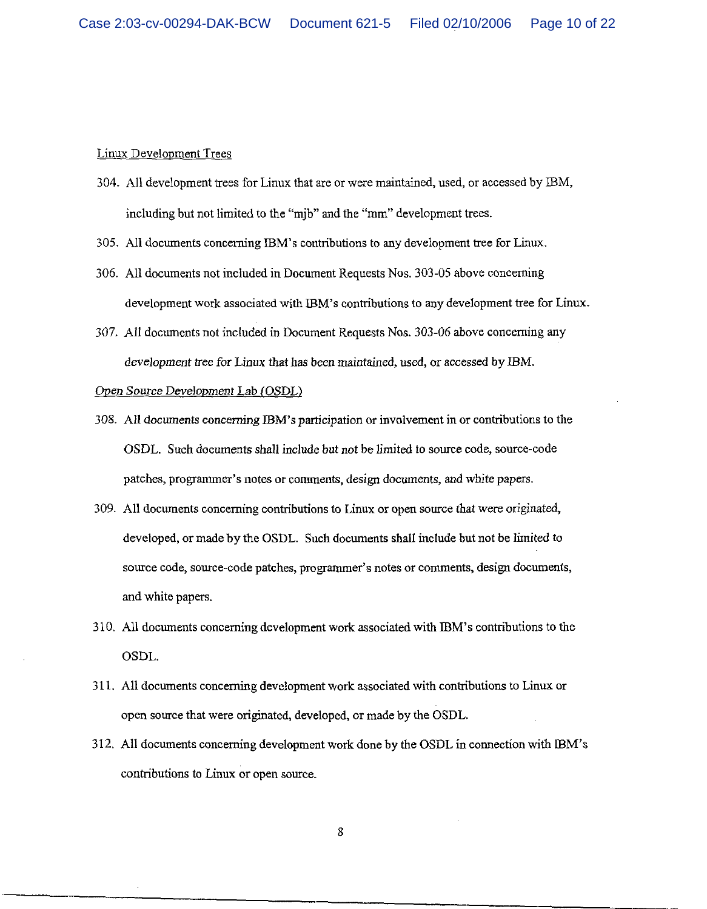### Linux Development Trees

- 304. All development trees for Linux that are or were maintained, used, or accessed by IBM, including but not limited to the "mib" and the "mm" development trees.
- 305. All documents concerning IBM's contributions to any development tree for Linux.
- 306. All documents not included in Document Requests Nos. 303-05 above concerning development work associated with IBM's contributions to any development tree for Linux.
- 307. All documents not included in Document Requests Nos. 303-06 above concerning any development tree for Linux that has been maintained, used, or accessed by IBM.

# Open Source Development Lab (OSDL)

- 308. All documents concerning IBM's participation or involvement in or contributions to the OSDL. Such documents shall include but not be limited to source code, source-code patches, programmer's notes or comments, design documents, and white papers.
- 309. All documents concerning contributions to Linux or open source that were originated, developed, or made by the OSDL. Such documents shall include but not be limited to source code, source-code patches, programmer's notes or comments, design documents, and white papers.
- 310. All documents concerning development work associated with IBM's contributions to the OSDL.
- 311. All documents concerning development work associated with contributions to Linux or open source that were originated, developed, or made by the OSDL.
- 312. All documents concerning development work done by the OSDL in connection with IBM's contributions to Linux or open source.

8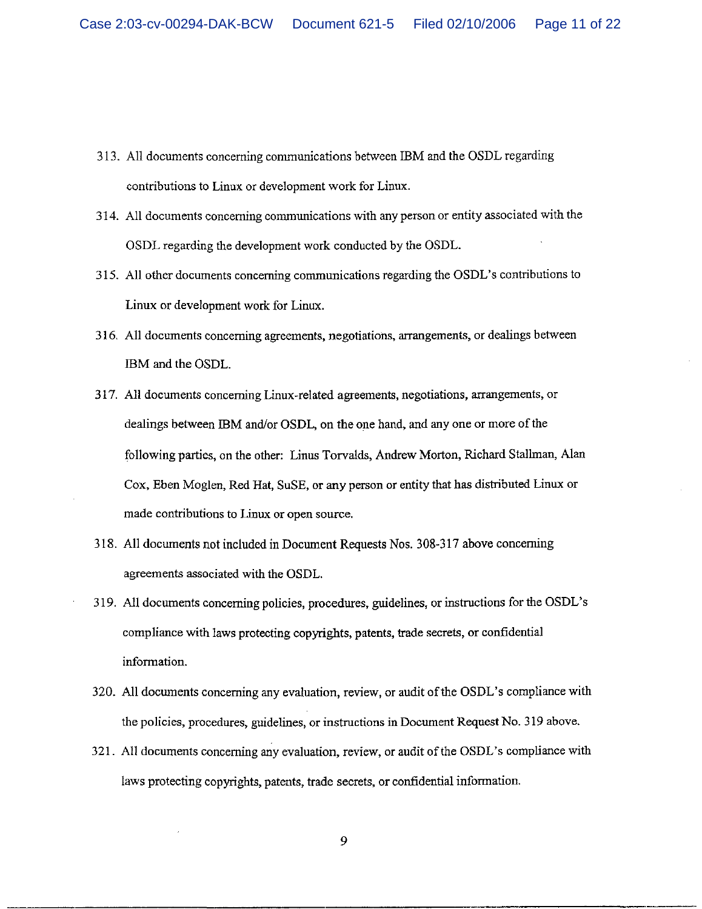- 313. All documents concerning communications between IBM and the OSDL regarding contributions to Linux or development work for Linux.
- 314. All documents concerning communications with any person or entity associated with the OSDL regarding the development work conducted by the OSDL.
- 315. All other documents concerning communications regarding the OSDL's contributions to Linux or development work for Linux.
- 316. All documents concerning agreements, negotiations, arrangements, or dealings between IBM and the OSDL.
- 317. All documents concerning Linux-related agreements, negotiations, arrangements, or dealings between IBM and/or OSDL, on the one hand, and any one or more of the following parties, on the other: Linus Torvalds, Andrew Morton, Richard Stallman, Alan Cox, Eben Moglen, Red Hat, SuSE, or any person or entity that has distributed Linux or made contributions to Linux or open source.
- 318. All documents not included in Document Requests Nos. 308-317 above concerning agreements associated with the OSDL.
- 319. All documents concerning policies, procedures, guidelines, or instructions for the OSDL's compliance with laws protecting copyrights, patents, trade secrets, or confidential information.
- 320. All documents concerning any evaluation, review, or audit of the OSDL's compliance with the policies, procedures, guidelines, or instructions in Document Request No. 319 above.
- 321. All documents concerning any evaluation, review, or audit of the OSDL's compliance with laws protecting copyrights, patents, trade secrets, or confidential information.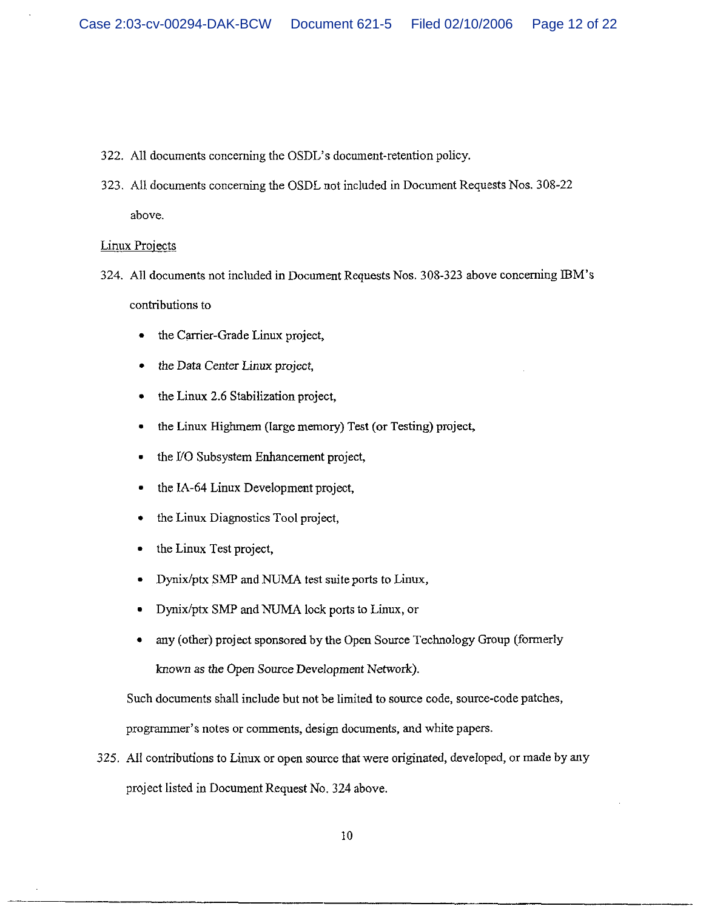- 322. All documents concerning the OSDL's document-retention policy.
- 323. All documents concerning the OSDL not included in Document Requests Nos. 308-22 above.

**Linux Projects** 

- 324. All documents not included in Document Requests Nos. 308-323 above concerning IBM's contributions to
	- the Carrier-Grade Linux project,
	- the Data Center Linux project,
	- the Linux 2.6 Stabilization project,
	- the Linux Highmem (large memory) Test (or Testing) project,
	- the I/O Subsystem Enhancement project,
	- the IA-64 Linux Development project,
	- the Linux Diagnostics Tool project,
	- the Linux Test project,
	- Dynix/ptx SMP and NUMA test suite ports to Linux,
	- Dynix/ptx SMP and NUMA lock ports to Linux, or
	- any (other) project sponsored by the Open Source Technology Group (formerly known as the Open Source Development Network).

Such documents shall include but not be limited to source code, source-code patches,

programmer's notes or comments, design documents, and white papers.

325. All contributions to Linux or open source that were originated, developed, or made by any project listed in Document Request No. 324 above.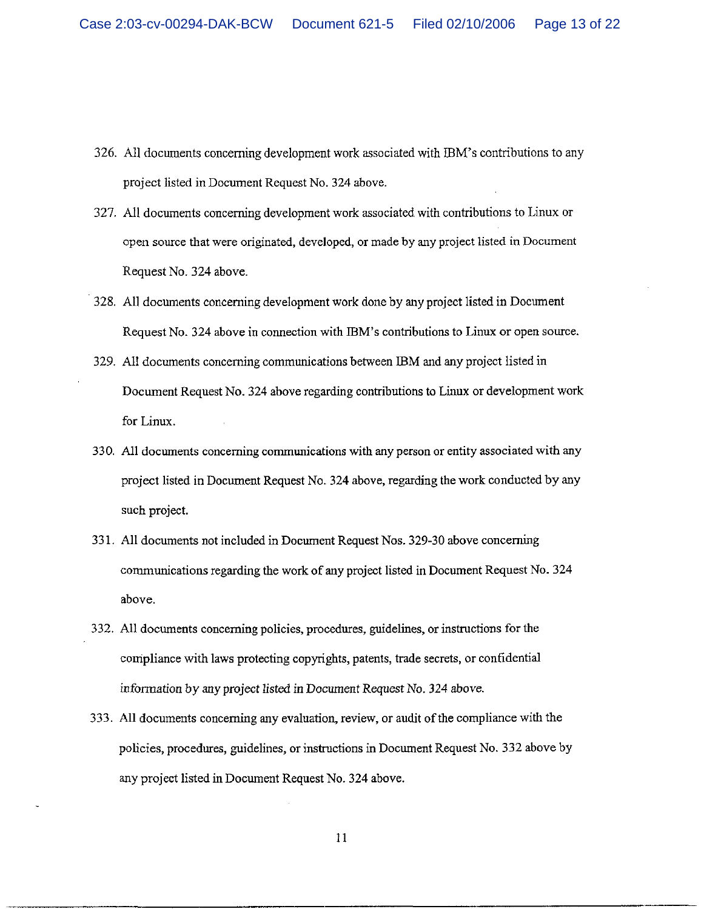- 326. All documents concerning development work associated with IBM's contributions to any project listed in Document Request No. 324 above.
- 327. All documents concerning development work associated with contributions to Linux or open source that were originated, developed, or made by any project listed in Document Request No. 324 above.
- 328. All documents concerning development work done by any project listed in Document Request No. 324 above in connection with IBM's contributions to Linux or open source.
- 329. All documents concerning communications between IBM and any project listed in Document Request No. 324 above regarding contributions to Linux or development work for Linux.
- 330. All documents concerning communications with any person or entity associated with any project listed in Document Request No. 324 above, regarding the work conducted by any such project.
- 331. All documents not included in Document Request Nos. 329-30 above concerning communications regarding the work of any project listed in Document Request No. 324 above.
- 332. All documents concerning policies, procedures, guidelines, or instructions for the compliance with laws protecting copyrights, patents, trade secrets, or confidential information by any project listed in Document Request No. 324 above.
- 333. All documents concerning any evaluation, review, or audit of the compliance with the policies, procedures, guidelines, or instructions in Document Request No. 332 above by any project listed in Document Request No. 324 above.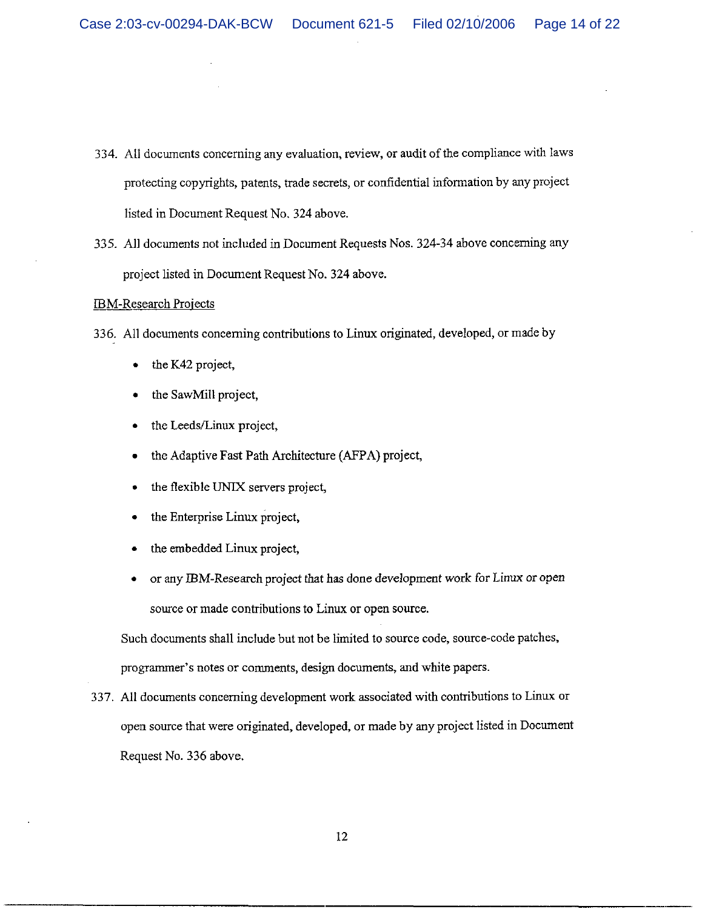- 334. All documents concerning any evaluation, review, or audit of the compliance with laws protecting copyrights, patents, trade secrets, or confidential information by any project listed in Document Request No. 324 above.
- 335. All documents not included in Document Requests Nos. 324-34 above concerning any project listed in Document Request No. 324 above.

### **IBM-Research Projects**

- 336. All documents concerning contributions to Linux originated, developed, or made by
	- the K42 project,
	- the SawMill project,
	- the Leeds/Linux project,
	- the Adaptive Fast Path Architecture (AFPA) project,
	- the flexible UNIX servers project,
	- the Enterprise Linux project,
	- the embedded Linux project,
	- or any IBM-Research project that has done development work for Linux or open source or made contributions to Linux or open source.

Such documents shall include but not be limited to source code, source-code patches, programmer's notes or comments, design documents, and white papers.

337. All documents concerning development work associated with contributions to Linux or open source that were originated, developed, or made by any project listed in Document Request No. 336 above.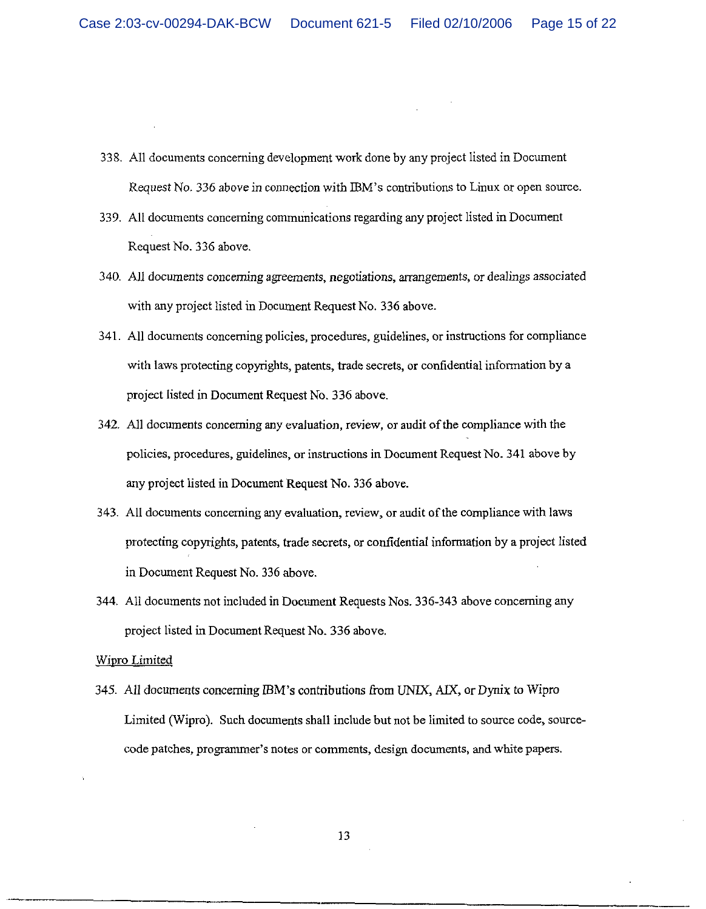- 338. All documents concerning development work done by any project listed in Document Request No. 336 above in connection with IBM's contributions to Linux or open source.
- 339. All documents concerning communications regarding any project listed in Document Request No. 336 above.
- 340. All documents concerning agreements, negotiations, arrangements, or dealings associated with any project listed in Document Request No. 336 above.
- 341. All documents concerning policies, procedures, guidelines, or instructions for compliance with laws protecting copyrights, patents, trade secrets, or confidential information by a project listed in Document Request No. 336 above.
- 342. All documents concerning any evaluation, review, or audit of the compliance with the policies, procedures, guidelines, or instructions in Document Request No. 341 above by any project listed in Document Request No. 336 above.
- 343. All documents concerning any evaluation, review, or audit of the compliance with laws protecting copyrights, patents, trade secrets, or confidential information by a project listed in Document Request No. 336 above.
- 344. All documents not included in Document Requests Nos. 336-343 above concerning any project listed in Document Request No. 336 above.

### **Wipro Limited**

345. All documents concerning IBM's contributions from UNIX, AIX, or Dynix to Wipro Limited (Wipro). Such documents shall include but not be limited to source code, sourcecode patches, programmer's notes or comments, design documents, and white papers.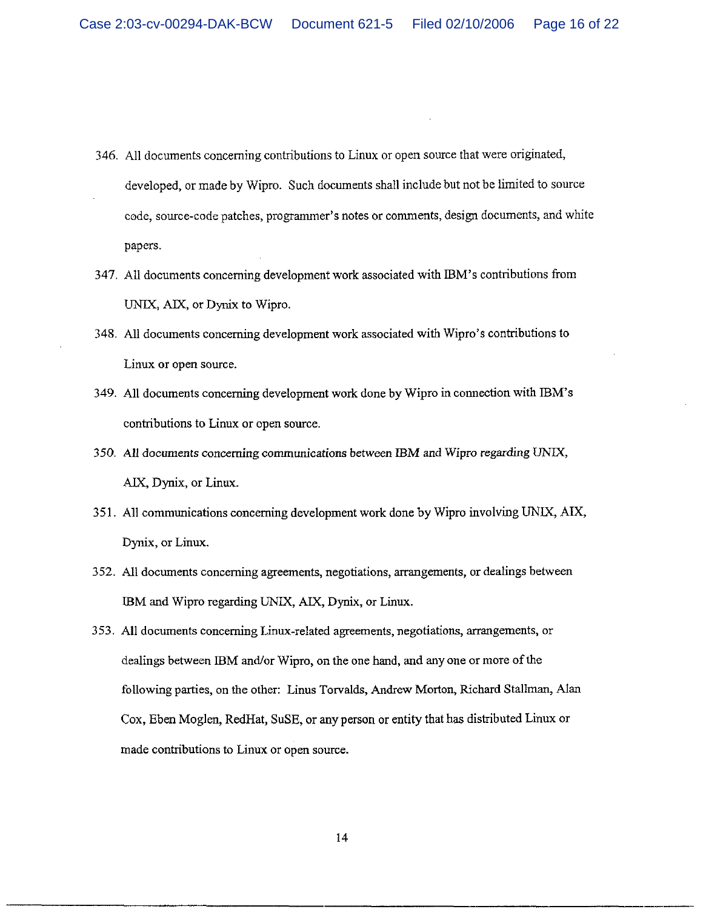- 346. All documents concerning contributions to Linux or open source that were originated, developed, or made by Wipro. Such documents shall include but not be limited to source code, source-code patches, programmer's notes or comments, design documents, and white papers.
- 347. All documents concerning development work associated with IBM's contributions from UNIX, AIX, or Dynix to Wipro.
- 348. All documents concerning development work associated with Wipro's contributions to Linux or open source.
- 349. All documents concerning development work done by Wipro in connection with IBM's contributions to Linux or open source.
- 350. All documents concerning communications between IBM and Wipro regarding UNIX, AIX, Dynix, or Linux.
- 351. All communications concerning development work done by Wipro involving UNIX, AIX, Dynix, or Linux.
- 352. All documents concerning agreements, negotiations, arrangements, or dealings between IBM and Wipro regarding UNIX, AIX, Dynix, or Linux.
- 353. All documents concerning Linux-related agreements, negotiations, arrangements, or dealings between IBM and/or Wipro, on the one hand, and any one or more of the following parties, on the other: Linus Torvalds, Andrew Morton, Richard Stallman, Alan Cox, Eben Moglen, RedHat, SuSE, or any person or entity that has distributed Linux or made contributions to Linux or open source.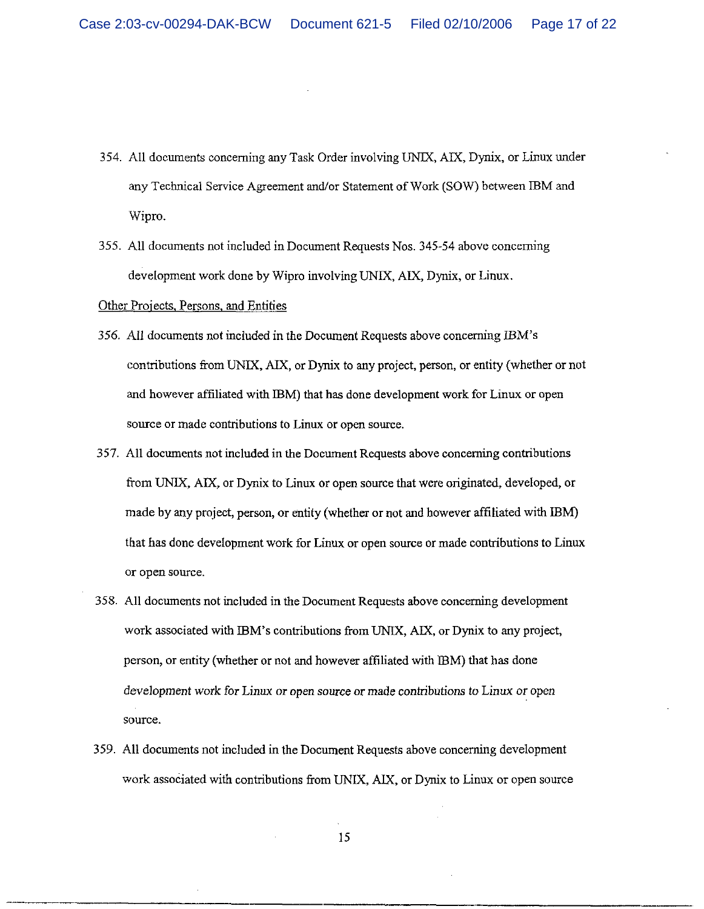- 354. All documents concerning any Task Order involving UNIX, AIX, Dynix, or Linux under any Technical Service Agreement and/or Statement of Work (SOW) between IBM and Wipro.
- 355. All documents not included in Document Requests Nos. 345-54 above concerning development work done by Wipro involving UNIX, AIX, Dynix, or Linux.

# Other Projects, Persons, and Entities

- 356. All documents not included in the Document Requests above concerning IBM's contributions from UNIX, AIX, or Dynix to any project, person, or entity (whether or not and however affiliated with IBM) that has done development work for Linux or open source or made contributions to Linux or open source.
- 357. All documents not included in the Document Requests above concerning contributions from UNIX, AIX, or Dynix to Linux or open source that were originated, developed, or made by any project, person, or entity (whether or not and however affiliated with IBM) that has done development work for Linux or open source or made contributions to Linux or open source.
- 358. All documents not included in the Document Requests above concerning development work associated with IBM's contributions from UNIX, AIX, or Dynix to any project, person, or entity (whether or not and however affiliated with IBM) that has done development work for Linux or open source or made contributions to Linux or open source.
- 359. All documents not included in the Document Requests above concerning development work associated with contributions from UNIX, AIX, or Dynix to Linux or open source

15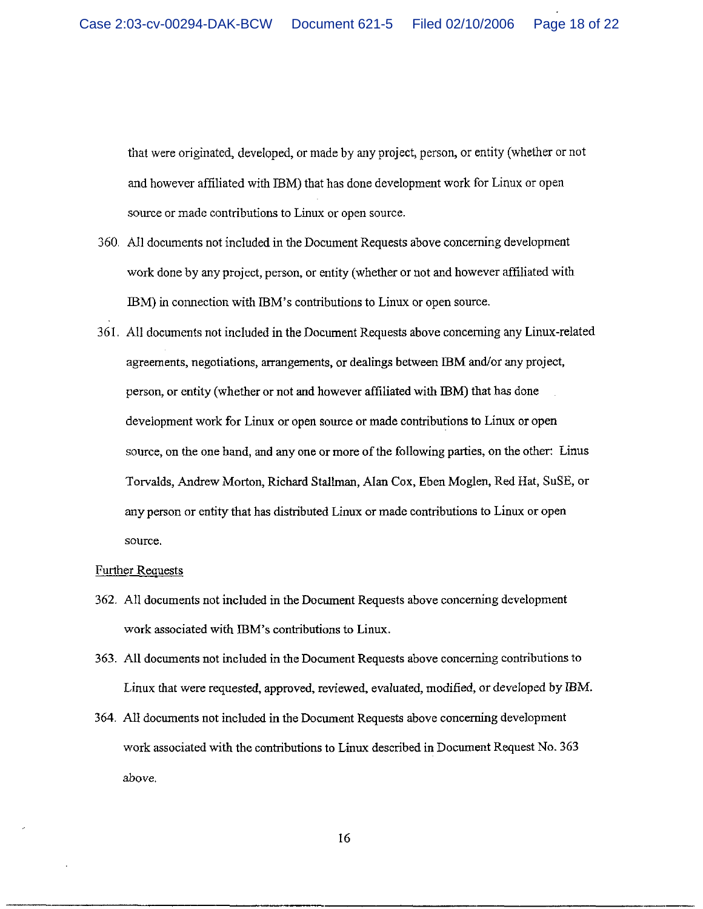that were originated, developed, or made by any project, person, or entity (whether or not and however affiliated with IBM) that has done development work for Linux or open source or made contributions to Linux or open source.

- 360. All documents not included in the Document Requests above concerning development work done by any project, person, or entity (whether or not and however affiliated with IBM) in connection with IBM's contributions to Linux or open source.
- 361. All documents not included in the Document Requests above concerning any Linux-related agreements, negotiations, arrangements, or dealings between IBM and/or any project, person, or entity (whether or not and however affiliated with IBM) that has done development work for Linux or open source or made contributions to Linux or open source, on the one hand, and any one or more of the following parties, on the other: Linus Torvalds, Andrew Morton, Richard Stallman, Alan Cox, Eben Moglen, Red Hat, SuSE, or any person or entity that has distributed Linux or made contributions to Linux or open source.

### **Further Requests**

- 362. All documents not included in the Document Requests above concerning development work associated with IBM's contributions to Linux.
- 363. All documents not included in the Document Requests above concerning contributions to Linux that were requested, approved, reviewed, evaluated, modified, or developed by IBM.
- 364. All documents not included in the Document Requests above concerning development work associated with the contributions to Linux described in Document Request No. 363 above.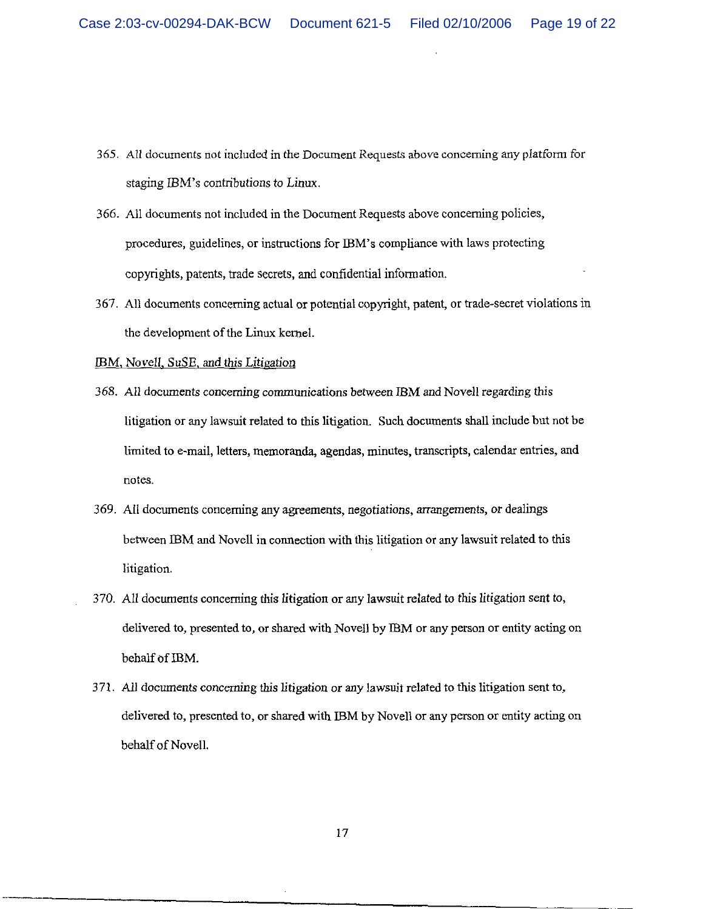- 365. All documents not included in the Document Requests above concerning any platform for staging IBM's contributions to Linux.
- 366. All documents not included in the Document Requests above concerning policies, procedures, guidelines, or instructions for IBM's compliance with laws protecting copyrights, patents, trade secrets, and confidential information.
- 367. All documents concerning actual or potential copyright, patent, or trade-secret violations in the development of the Linux kernel.

# IBM, Novell, SuSE, and this Litigation

- 368. All documents concerning communications between IBM and Novell regarding this litigation or any lawsuit related to this litigation. Such documents shall include but not be limited to e-mail, letters, memoranda, agendas, minutes, transcripts, calendar entries, and notes.
- 369. All documents concerning any agreements, negotiations, arrangements, or dealings between IBM and Novell in connection with this litigation or any lawsuit related to this litigation.
- 370. All documents concerning this litigation or any lawsuit related to this litigation sent to, delivered to, presented to, or shared with Novell by IBM or any person or entity acting on behalf of IBM.
- 371. All documents concerning this litigation or any lawsuit related to this litigation sent to, delivered to, presented to, or shared with IBM by Novell or any person or entity acting on behalf of Novell.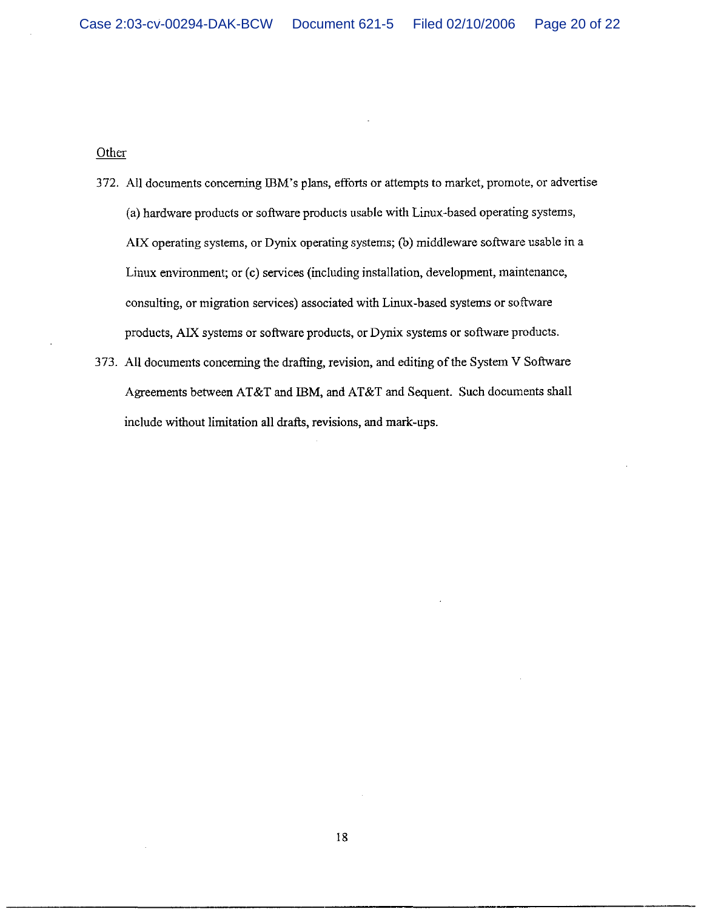Other

- 372. All documents concerning IBM's plans, efforts or attempts to market, promote, or advertise (a) hardware products or software products usable with Linux-based operating systems, AIX operating systems, or Dynix operating systems; (b) middleware software usable in a Linux environment; or (c) services (including installation, development, maintenance, consulting, or migration services) associated with Linux-based systems or software products, AIX systems or software products, or Dynix systems or software products.
- 373. All documents concerning the drafting, revision, and editing of the System V Software Agreements between AT&T and IBM, and AT&T and Sequent. Such documents shall include without limitation all drafts, revisions, and mark-ups.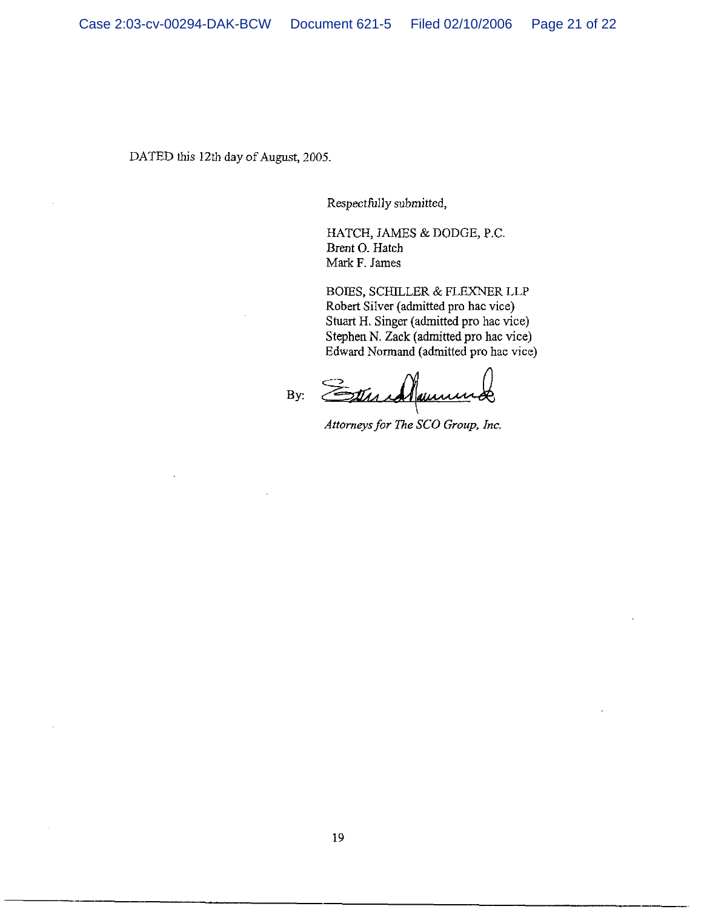DATED this 12th day of August, 2005.

Respectfully submitted,

HATCH, JAMES & DODGE, P.C. Brent O. Hatch Mark F. James

BOIES, SCHILLER & FLEXNER LLP Robert Silver (admitted pro hac vice) Stuart H. Singer (admitted pro hac vice) Stephen N. Zack (admitted pro hac vice) Edward Normand (admitted pro hac vice)

Stundlau By:

Attorneys for The SCO Group, Inc.

19